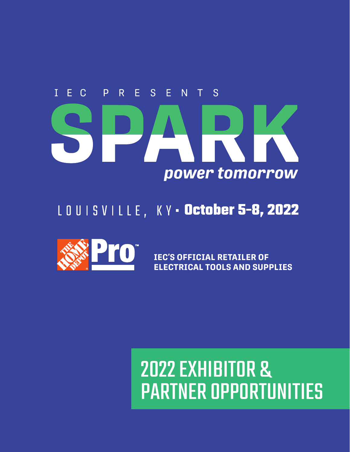# P R E S E N T S E C  $\mathbf{I}$ power tomorrow

## LOUISVILLE, KY - October 5-8, 2022



**IEC'S OFFICIAL RETAILER OF ELECTRICAL TOOLS AND SUPPLIES**

# 2022 EXHIBITOR & PARTNER OPPORTUNITIES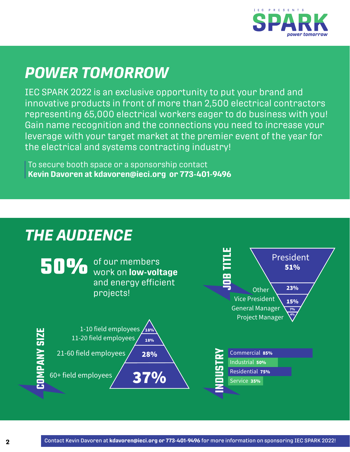

## *POWER TOMORROW*

IEC SPARK 2022 is an exclusive opportunity to put your brand and innovative products in front of more than 2,500 electrical contractors representing 65,000 electrical workers eager to do business with you! Gain name recognition and the connections you need to increase your leverage with your target market at the premier event of the year for the electrical and systems contracting industry!

To secure booth space or a sponsorship contact **Kevin Davoren at kdavoren@ieci.org or 773-401-9496**

## *THE AUDIENCE*

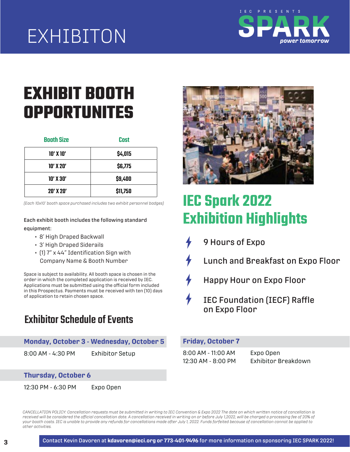## EXHIBITON **4%2\$3&0\$%&**:**)5G79**



## the exhibit hall for a chance to win prizes.  $P$ itors must provide a prize (\$100 minimum value) **EXHIBIT BOOTH 1N,'O'&\*#)@\*\*&,)4%+\*#0.&'\*%** Space is subject to availability. All booth space is chosen in the **OPPORTUNITES**

| <b>Booth Size</b> | Cost     |  |  |
|-------------------|----------|--|--|
| $10'$ X $10'$     | \$4,015  |  |  |
| 10' X 20'         | \$6,775  |  |  |
| $10'$ X $30'$     | \$9,400  |  |  |
| $20'$ X $20'$     | \$11,750 |  |  |

*(Each 10x10' booth space purchased includes two exhibit personnel badges)*

Contact Kevin Davoren at **kdavoren@ieci.org or 773-401-9496** for more information on sponsoring IEC SPARK 2022! **4** Each exhibit booth includes the following standard equipment:

- 8' High Draped Backwall
- 3' High Draped Siderails
- (1) 7" x 44" Identification Sign with Company Name & Booth Number

Space is subject to availability. All booth space is chosen in the order in which the completed application is received by IEC. Applications must be submitted using the official form included in this Prospectus. Payments must be received with ten (10) days of application to retain chosen space.

## Exhibitor Schedule of Events

#### **Monday, October 3 - Wednesday, October 5**

8:00 AM - 4:30 PM Exhibitor Setup

**Thursday, October 6**

12:30 PM - 6:30 PM Expo Open



## **IEC Spark 2022 Exhibition Highlights**

- 9 Hours of Expo
- Lunch and Breakfast on Expo Floor
- Happy Hour on Expo Floor
- **IEC Foundation (IECF) Raffle** on Expo Floor

#### **Friday, October 7**

8:00 AM - 11:00 AM Expo Open

12:30 AM - 8:00 PM Exhibitor Breakdown

CANCELLATION POLICY: Cancellation requests must be submitted in writing to IEC Convention & Expo 2022 The date on which written notice of cancellation is received will be considered the official cancellation date. A cancellation received in writing on or before July 1,2022, will be charged a processing fee of 20% of *your booth costs. IEC is unable to provide any refunds for cancellations made after July 1, 2022. Funds forfeited because of cancellation cannot be applied to other activities.*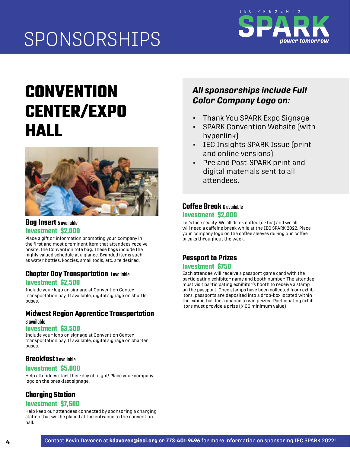

## **CONVENTION CENTER/EXPO HALL**



### **Bag Insert** 5 available **Investment**: **\$2,000**

Place a gift or information promoting your company in the first and most prominent item that attendees receive onsite, the Convention tote bag. These bags include the highly valued schedule at a glance. Branded items such as water bottles, koozies, small tools, etc. are desired.

### **Chapter Day Transportation** 1 available **Investment**: **\$2,500**

Include your logo on signage at Convention Center transportation bay. If available, digital signage on shuttle buses.

#### **Midwest Region Apprentice Transportation**  6 available

#### **Investment**: **\$3,500**

Include your logo on signage at Convention Center transportation bay. If available, digital signage on charter buses.

## **Breakfast** 3 available

### **Investment**: **\$5,000**

Help attendees start their day off right! Place your company logo on the breakfast signage.

## **Charging Station**

### **Investment**: **\$7,500**

Help keep our attendees connected by sponsoring a charging station that will be placed at the entrance to the convention hall.

## *All sponsorships include Full Color Company Logo on:*

- Thank You SPARK Expo Signage
- SPARK Convention Website (with hyperlink)
- IEC Insights SPARK Issue (print and online versions)
- Pre and Post-SPARK print and digital materials sent to all attendees.

### **Coffee Break** 6 available **Investment**: **\$2,000**

Let's face reality. We all drink coffee (or tea) and we all will need a caffeine break while at the IEC SPARK 2022. Place your company logo on the coffee sleeves during our coffee breaks throughout the week.

## **Passport to Prizes**

#### **Investment**: **\$750**

Each attendee will receive a passport game card with the participating exhibitor name and booth number. The attendee must visit participating exhibitor's booth to receive a stamp on the passport. Once stamps have been collected from exhibitors, passports are deposited into a drop-box located within the exhibit hall for a chance to win prizes. Participating exhibitors must provide a prize (\$100 minimum value)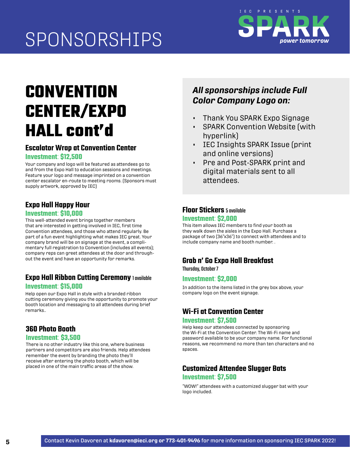

## **CONVENTION CENTER/EXPO HALL cont'd**

## **Escalator Wrap at Convention Center**

#### **Investment**: **\$12,500**

Your company and logo will be featured as attendees go to and from the Expo Hall to education sessions and meetings. Feature your logo and message imprinted on a convention center escalator en-route to meeting rooms. (Sponsors must supply artwork, approved by IEC)

## **Expo Hall Happy Hour**

#### **Investment**: **\$10,000**

This well-attended event brings together members that are interested in getting involved in IEC, first time Convention attendees, and those who attend regularly. Be part of a fun event highlighting what makes IEC great. Your company brand will be on signage at the event, a complimentary full registration to Convention (includes all events); company reps can greet attendees at the door and throughout the event and have an opportunity for remarks.

## **Expo Hall Ribbon Cutting Ceremony** 1 available

#### **Investment**: **\$15,000**

Help open our Expo Hall in style with a branded ribbon cutting ceremony giving you the opportunity to promote your booth location and messaging to all attendees during brief remarks..

## **360 Photo Booth**

#### **Investment**: **\$3,500**

There is no other industry like this one, where business partners and competitors are also friends. Help attendees remember the event by branding the photo they'll receive after entering the photo booth, which will be<br>placed in one of the main traffic areas of the show.

## *All sponsorships include Full Color Company Logo on:*

- Thank You SPARK Expo Signage
- SPARK Convention Website (with hyperlink)
- IEC Insights SPARK Issue (print and online versions)
- Pre and Post-SPARK print and digital materials sent to all attendees.

## **Floor Stickers** 5 available

#### **Investment**: **\$2,000**

This item allows IEC members to find your booth as they walk down the aisles in the Expo Hall. Purchase a package of two (36"x36") to connect with attendees and to include company name and booth number. .

## **Grab n' Go Expo Hall Breakfast**

Thursday, October 7

### **Investment**: **\$2,000**

In addition to the items listed in the grey box above, your company logo on the event signage.

## **Wi-Fi at Convention Center Investment**: **\$7,500**

Help keep our attendees connected by sponsoring the Wi-Fi at the Convention Center. The Wi-Fi name and password available to be your company name. For functional reasons, we recommend no more than ten characters and no spaces.

## **Customized Attendee Slugger Bats Investment**: **\$7,500**

"WOW!" attendees with a customized slugger bat with your logo included.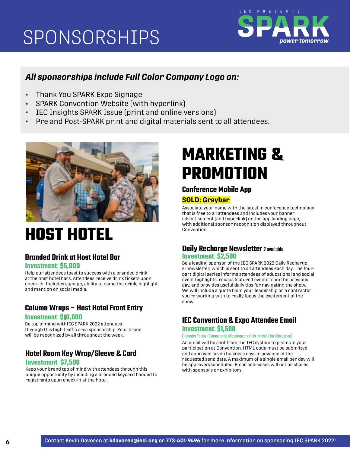

## *All sponsorships include Full Color Company Logo on:*

- Thank You SPARK Expo Signage
- SPARK Convention Website (with hyperlink)
- IEC Insights SPARK Issue (print and online versions)
- Pre and Post-SPARK print and digital materials sent to all attendees.



## **HOST HOTEL**

## **Branded Drink at Host Hotel Bar Investment**: **\$5,000**

Help our attendees toast to success with a branded drink at the host hotel bars. Attendees receive drink tickets upon check-in. Includes signage, ability to name the drink, highlight and mention on social media.

## **Column Wraps – Host Hotel Front Entry**

#### **Investment**: **\$10,000**

Be top of mind withIEC SPARK 2022 attendees through this high traffic area sponsorship. Your brand will be recognized by all throughout the week.

## **Hotel Room Key Wrap/Sleeve & Card**

#### **Investment**: **\$7,500**

Keep your brand top of mind with attendees through this unique opportunity by including a branded keycard handed to registrants upon check-in at the hotel.

## **MARKETING & PROMOTION**

## **Conference Mobile App**

### **SOLD: Graybar**

Associate your name with the latest in conference technology that is free to all attendees and includes your banner advertisement (and hyperlink) on the app landing page, with additional sponsor recognition displayed throughout Convention.

#### **Daily Recharge Newsletter** 2 available **Investment**: **\$2,500**

Be a leading sponsor of the IEC SPARK 2022 Daily Recharge e-newsletter, which is sent to all attendees each day. The fourpart digital series informs attendees of educational and social event highlights, recaps featured events from the previous day, and provides useful daily tips for navigating the show. We will include a quote from your leadership or a contractor you're working with to really focus the excitement of the show.

## **IEC Convention & Expo Attendee Email Investment**: **\$1,500**

#### (Industry Partner Sponsorship allocation credit is not valid for this option)

An email will be sent from the IEC system to promote your participation at Convention. HTML code must be submitted and approved seven business days in advance of the requested send date. A maximum of a single email per day will be approved/scheduled. Email addresses will not be shared with sponsors or exhibitors.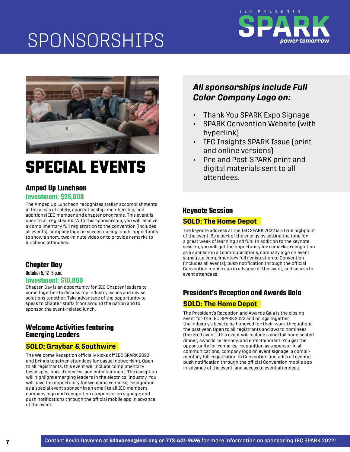



## **SPECIAL EVENTS**

## **Amped Up Luncheon**

### **Investment**: **\$25,000**

The Amped Up Luncheon recognizes stellar accomplishments in the areas of safety, apprenticeship, membership, and additional IEC member and chapter programs. This event is open to all registrants. With this sponsorship, you will receive a complimentary full registration to the convention (includes all events), company logo on screen during lunch, opportunity to show a short, two-minute video or to provide remarks to luncheon attendees.

## **Chapter Day**

October 5, 12–5 p.m.

#### **Investment**: **\$10,000**

Chapter Day is an opportunity for IEC Chapter leaders to come together to discuss top industry issues and devise solutions together. Take advantage of the opportunity to speak to chapter staffs from around the nation and to sponsor the event-related lunch.

### **Welcome Activities featuring Emerging Leaders**

### **SOLD: Graybar & Southwire**

The Welcome Reception officially kicks off IEC SPARK 2022 and brings together attendees for casual networking. Open to all registrants, this event will include complimentary beverages, hors d'oeuvres, and entertainment. The reception will highlight emerging leaders in the electrical industry. You will have the opportunity for welcome remarks, recognition as a special event sponsor in an email to all IEC members, company logo and recognition as sponsor on signage; and push notifications through the official mobile app in advance of the event.

## *All sponsorships include Full Color Company Logo on:*

- Thank You SPARK Expo Signage
- SPARK Convention Website (with hyperlink)
- IEC Insights SPARK Issue (print and online versions)
- Pre and Post-SPARK print and digital materials sent to all attendees.

### **Keynote Session**

### **SOLD: The Home Depot**

The keynote address at the IEC SPARK 2022 is a true highpoint of the event. Be a part of the energy by setting the tone for a great week of learning and fun! In addition to the keynote session, you will get the opportunity for remarks, recognition as a sponsor in all communications, company logo on event signage, a complimentary full registration to Convention (includes all events); push notification through the official Convention mobile app in advance of the event, and access to event attendees.

## **President's Reception and Awards Gala**

## **SOLD: The Home Depot**

The President's Reception and Awards Gala is the closing event for the IEC SPARK 2022 and brings together the industry's best to be honored for their work throughout the past year. Open to all registrants and award nominees (ticketed event), this event will include a cocktail hour, seated dinner, awards ceremony, and entertainment. You get the opportunity for remarks, recognition as a sponsor in all communications, company logo on event signage, a complimentary full registration to Convention (includes all events); push notification through the official Convention mobile app in advance of the event, and access to event attendees.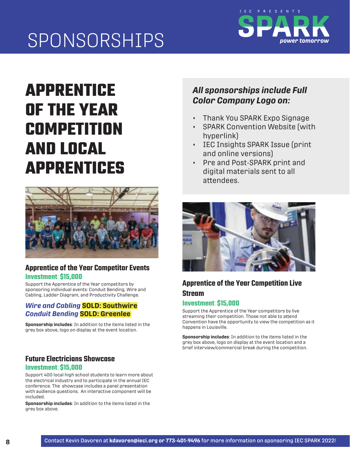

## **APPRENTICE OF THE YEAR COMPETITION AND LOCAL APPRENTICES**



## **Apprentice of the Year Competitor Events Investment: \$15,000**

Support the Apprentice of the Year competitors by sponsoring individual events: Conduit Bending, Wire and Cabling, Ladder Diagram, and Productivity Challenge.

### *Wire and Cabling* **SOLD: Southwire** *Co duit Bending* **SOLD: Greenlee**

**Sponsorship includes**: In addition to the items listed in the grey box above, logo on display at the event location.

## **Future Electricians Showcase Investment: \$15,000**

Support 400 local high school students to learn more about the electrical industry and to participate in the annual IEC conference. The showcase includes a panel presentation with audience questions. An interactive component will be included.

**Sponsorship includes**: In addition to the items listed in the grey box above.

## *All sponsorships include Full Color Company Logo on:*

- Thank You SPARK Expo Signage
- SPARK Convention Website (with hyperlink)
- IEC Insights SPARK Issue (print and online versions)
- Pre and Post-SPARK print and digital materials sent to all attendees.



## **Apprentice of the Year Competition Live Stream**

## **Investment: \$15,000**

Support the Apprentice of the Year competitors by live streaming their competition. Those not able to attend Convention have the opportunity to view the competition as it happens in Louisville.

**Sponsorship includes**: In addition to the items listed in the grey box above, logo on display at the event location and a brief interview/commercial break during the competition.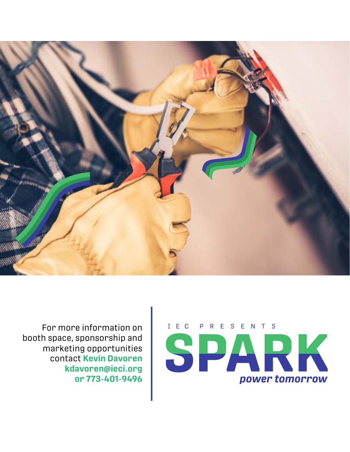



For more information on booth space, sponsorship and marketing opportunities contact **Kevin Davoren kdavoren@ieci.org or 773-401-9496**